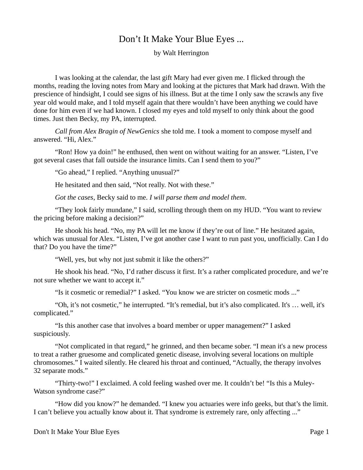## Don't It Make Your Blue Eyes ...

by Walt Herrington

I was looking at the calendar, the last gift Mary had ever given me. I flicked through the months, reading the loving notes from Mary and looking at the pictures that Mark had drawn. With the prescience of hindsight, I could see signs of his illness. But at the time I only saw the scrawls any five year old would make, and I told myself again that there wouldn't have been anything we could have done for him even if we had known. I closed my eyes and told myself to only think about the good times. Just then Becky, my PA, interrupted.

*Call from Alex Bragin of NewGenics* she told me. I took a moment to compose myself and answered. "Hi, Alex."

"Ron! How ya doin!" he enthused, then went on without waiting for an answer. "Listen, I've got several cases that fall outside the insurance limits. Can I send them to you?"

"Go ahead," I replied. "Anything unusual?"

He hesitated and then said, "Not really. Not with these."

*Got the cases*, Becky said to me. *I will parse them and model them*.

"They look fairly mundane," I said, scrolling through them on my HUD. "You want to review the pricing before making a decision?"

He shook his head. "No, my PA will let me know if they're out of line." He hesitated again, which was unusual for Alex. "Listen, I've got another case I want to run past you, unofficially. Can I do that? Do you have the time?"

"Well, yes, but why not just submit it like the others?"

He shook his head. "No, I'd rather discuss it first. It's a rather complicated procedure, and we're not sure whether we want to accept it."

"Is it cosmetic or remedial?" I asked. "You know we are stricter on cosmetic mods ..."

"Oh, it's not cosmetic," he interrupted. "It's remedial, but it's also complicated. It's … well, it's complicated."

"Is this another case that involves a board member or upper management?" I asked suspiciously.

"Not complicated in that regard," he grinned, and then became sober. "I mean it's a new process to treat a rather gruesome and complicated genetic disease, involving several locations on multiple chromosomes." I waited silently. He cleared his throat and continued, "Actually, the therapy involves 32 separate mods."

"Thirty-two!" I exclaimed. A cold feeling washed over me. It couldn't be! "Is this a Muley-Watson syndrome case?"

"How did you know?" he demanded. "I knew you actuaries were info geeks, but that's the limit. I can't believe you actually know about it. That syndrome is extremely rare, only affecting ..."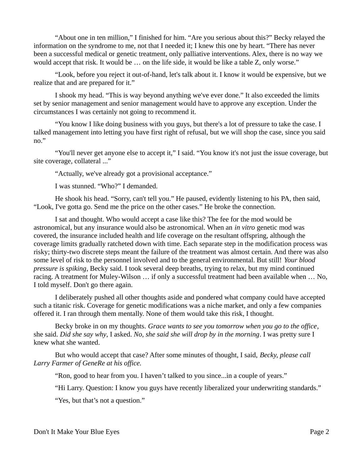"About one in ten million," I finished for him. "Are you serious about this?" Becky relayed the information on the syndrome to me, not that I needed it; I knew this one by heart. "There has never been a successful medical or genetic treatment, only palliative interventions. Alex, there is no way we would accept that risk. It would be … on the life side, it would be like a table Z, only worse."

"Look, before you reject it out-of-hand, let's talk about it. I know it would be expensive, but we realize that and are prepared for it."

I shook my head. "This is way beyond anything we've ever done." It also exceeded the limits set by senior management and senior management would have to approve any exception. Under the circumstances I was certainly not going to recommend it.

"You know I like doing business with you guys, but there's a lot of pressure to take the case. I talked management into letting you have first right of refusal, but we will shop the case, since you said no."

"You'll never get anyone else to accept it," I said. "You know it's not just the issue coverage, but site coverage, collateral ..."

"Actually, we've already got a provisional acceptance."

I was stunned. "Who?" I demanded.

He shook his head. "Sorry, can't tell you." He paused, evidently listening to his PA, then said, "Look, I've gotta go. Send me the price on the other cases." He broke the connection.

I sat and thought. Who would accept a case like this? The fee for the mod would be astronomical, but any insurance would also be astronomical. When an *in vitro* genetic mod was covered, the insurance included health and life coverage on the resultant offspring, although the coverage limits gradually ratcheted down with time. Each separate step in the modification process was risky; thirty-two discrete steps meant the failure of the treatment was almost certain. And there was also some level of risk to the personnel involved and to the general environmental. But still! *Your blood pressure is spiking*, Becky said. I took several deep breaths, trying to relax, but my mind continued racing. A treatment for Muley-Wilson … if only a successful treatment had been available when … No, I told myself. Don't go there again.

I deliberately pushed all other thoughts aside and pondered what company could have accepted such a titanic risk. Coverage for genetic modifications was a niche market, and only a few companies offered it. I ran through them mentally. None of them would take this risk, I thought.

Becky broke in on my thoughts. *Grace wants to see you tomorrow when you go to the office*, she said. *Did she say why*, I asked. *No, she said she will drop by in the morning*. I was pretty sure I knew what she wanted.

But who would accept that case? After some minutes of thought, I said, *Becky, please call Larry Farmer of GeneRe at his office.* 

"Ron, good to hear from you. I haven't talked to you since...in a couple of years."

"Hi Larry. Question: I know you guys have recently liberalized your underwriting standards."

"Yes, but that's not a question."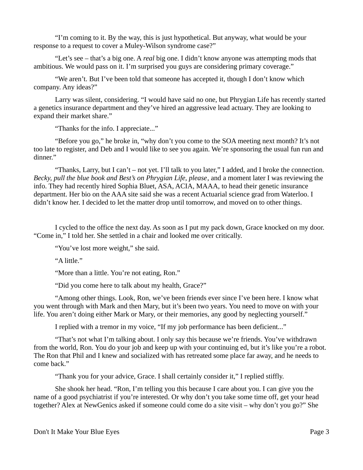"I'm coming to it. By the way, this is just hypothetical. But anyway, what would be your response to a request to cover a Muley-Wilson syndrome case?"

"Let's see – that's a big one. A *real* big one. I didn't know anyone was attempting mods that ambitious. We would pass on it. I'm surprised you guys are considering primary coverage."

"We aren't. But I've been told that someone has accepted it, though I don't know which company. Any ideas?"

Larry was silent, considering. "I would have said no one, but Phrygian Life has recently started a genetics insurance department and they've hired an aggressive lead actuary. They are looking to expand their market share."

"Thanks for the info. I appreciate..."

"Before you go," he broke in, "why don't you come to the SOA meeting next month? It's not too late to register, and Deb and I would like to see you again. We're sponsoring the usual fun run and dinner."

"Thanks, Larry, but I can't – not yet. I'll talk to you later," I added, and I broke the connection. *Becky, pull the blue book and Best's on Phrygian Life, please*, and a moment later I was reviewing the info. They had recently hired Sophia Bluet, ASA, ACIA, MAAA, to head their genetic insurance department. Her bio on the AAA site said she was a recent Actuarial science grad from Waterloo. I didn't know her. I decided to let the matter drop until tomorrow, and moved on to other things.

I cycled to the office the next day. As soon as I put my pack down, Grace knocked on my door. "Come in," I told her. She settled in a chair and looked me over critically.

"You've lost more weight," she said.

"A little."

"More than a little. You're not eating, Ron."

"Did you come here to talk about my health, Grace?"

"Among other things. Look, Ron, we've been friends ever since I've been here. I know what you went through with Mark and then Mary, but it's been two years. You need to move on with your life. You aren't doing either Mark or Mary, or their memories, any good by neglecting yourself."

I replied with a tremor in my voice, "If my job performance has been deficient..."

"That's not what I'm talking about. I only say this because we're friends. You've withdrawn from the world, Ron. You do your job and keep up with your continuing ed, but it's like you're a robot. The Ron that Phil and I knew and socialized with has retreated some place far away, and he needs to come back."

"Thank you for your advice, Grace. I shall certainly consider it," I replied stiffly.

She shook her head. "Ron, I'm telling you this because I care about you. I can give you the name of a good psychiatrist if you're interested. Or why don't you take some time off, get your head together? Alex at NewGenics asked if someone could come do a site visit – why don't you go?" She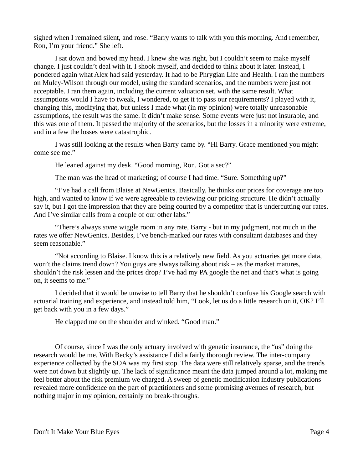sighed when I remained silent, and rose. "Barry wants to talk with you this morning. And remember, Ron, I'm your friend." She left.

I sat down and bowed my head. I knew she was right, but I couldn't seem to make myself change. I just couldn't deal with it. I shook myself, and decided to think about it later. Instead, I pondered again what Alex had said yesterday. It had to be Phrygian Life and Health. I ran the numbers on Muley-Wilson through our model, using the standard scenarios, and the numbers were just not acceptable. I ran them again, including the current valuation set, with the same result. What assumptions would I have to tweak, I wondered, to get it to pass our requirements? I played with it, changing this, modifying that, but unless I made what (in my opinion) were totally unreasonable assumptions, the result was the same. It didn't make sense. Some events were just not insurable, and this was one of them. It passed the majority of the scenarios, but the losses in a minority were extreme, and in a few the losses were catastrophic.

I was still looking at the results when Barry came by. "Hi Barry. Grace mentioned you might come see me."

He leaned against my desk. "Good morning, Ron. Got a sec?"

The man was the head of marketing; of course I had time. "Sure. Something up?"

"I've had a call from Blaise at NewGenics. Basically, he thinks our prices for coverage are too high, and wanted to know if we were agreeable to reviewing our pricing structure. He didn't actually say it, but I got the impression that they are being courted by a competitor that is undercutting our rates. And I've similar calls from a couple of our other labs."

"There's always *some* wiggle room in any rate, Barry - but in my judgment, not much in the rates we offer NewGenics. Besides, I've bench-marked our rates with consultant databases and they seem reasonable."

"Not according to Blaise. I know this is a relatively new field. As you actuaries get more data, won't the claims trend down? You guys are always talking about risk – as the market matures, shouldn't the risk lessen and the prices drop? I've had my PA google the net and that's what is going on, it seems to me."

I decided that it would be unwise to tell Barry that he shouldn't confuse his Google search with actuarial training and experience, and instead told him, "Look, let us do a little research on it, OK? I'll get back with you in a few days."

He clapped me on the shoulder and winked. "Good man."

Of course, since I was the only actuary involved with genetic insurance, the "us" doing the research would be me. With Becky's assistance I did a fairly thorough review. The inter-company experience collected by the SOA was my first stop. The data were still relatively sparse, and the trends were not down but slightly up. The lack of significance meant the data jumped around a lot, making me feel better about the risk premium we charged. A sweep of genetic modification industry publications revealed more confidence on the part of practitioners and some promising avenues of research, but nothing major in my opinion, certainly no break-throughs.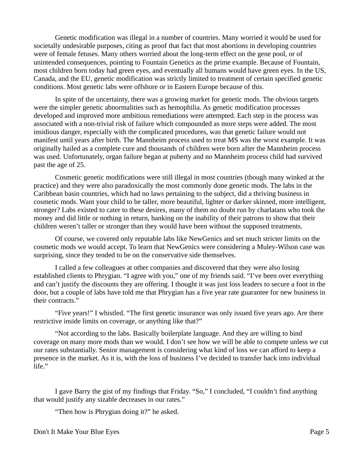Genetic modification was illegal in a number of countries. Many worried it would be used for societally undesirable purposes, citing as proof that fact that most abortions in developing countries were of female fetuses. Many others worried about the long-term effect on the gene pool, or of unintended consequences, pointing to Fountain Genetics as the prime example. Because of Fountain, most children born today had green eyes, and eventually all humans would have green eyes. In the US, Canada, and the EU, genetic modification was strictly limited to treatment of certain specified genetic conditions. Most genetic labs were offshore or in Eastern Europe because of this.

In spite of the uncertainty, there was a growing market for genetic mods. The obvious targets were the simpler genetic abnormalities such as hemophilia. As genetic modification processes developed and improved more ambitious remediations were attempted. Each step in the process was associated with a non-trivial risk of failure which compounded as more steps were added. The most insidious danger, especially with the complicated procedures, was that genetic failure would not manifest until years after birth. The Mannheim process used to treat MS was the worst example. It was originally hailed as a complete cure and thousands of children were born after the Mannheim process was used. Unfortunately, organ failure began at puberty and no Mannheim process child had survived past the age of 25.

Cosmetic genetic modifications were still illegal in most countries (though many winked at the practice) and they were also paradoxically the most commonly done genetic mods. The labs in the Caribbean basin countries, which had no laws pertaining to the subject, did a thriving business in cosmetic mods. Want your child to be taller, more beautiful, lighter or darker skinned, more intelligent, stronger? Labs existed to cater to these desires, many of them no doubt run by charlatans who took the money and did little or nothing in return, banking on the inability of their patrons to show that their children weren't taller or stronger than they would have been without the supposed treatments.

Of course, we covered only reputable labs like NewGenics and set much stricter limits on the cosmetic mods we would accept. To learn that NewGenics were considering a Muley-Wilson case was surprising, since they tended to be on the conservative side themselves.

I called a few colleagues at other companies and discovered that they were also losing established clients to Phrygian. "I agree with you," one of my friends said. "I've been over everything and can't justify the discounts they are offering. I thought it was just loss leaders to secure a foot in the door, but a couple of labs have told me that Phrygian has a five year rate guarantee for new business in their contracts."

"Five years!" I whistled. "The first genetic insurance was only issued five years ago. Are there restrictive inside limits on coverage, or anything like that?"

"Not according to the labs. Basically boilerplate language. And they are willing to bind coverage on many more mods than we would. I don't see how we will be able to compete unless we cut our rates substantially. Senior management is considering what kind of loss we can afford to keep a presence in the market. As it is, with the loss of business I've decided to transfer back into individual life."

I gave Barry the gist of my findings that Friday. "So," I concluded, "I couldn't find anything that would justify any sizable decreases in our rates."

"Then how is Phrygian doing it?" he asked.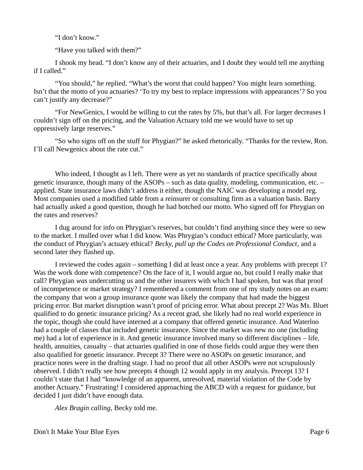"I don't know."

"Have you talked with them?"

I shook my head. "I don't know any of their actuaries, and I doubt they would tell me anything if I called."

"You should," he replied. "What's the worst that could happen? You might learn something. Isn't that the motto of you actuaries? 'To try my best to replace impressions with appearances'? So you can't justify any decrease?"

"For NewGenics, I would be willing to cut the rates by 5%, but that's all. For larger decreases I couldn't sign off on the pricing, and the Valuation Actuary told me we would have to set up oppressively large reserves."

"So who signs off on the stuff for Phygian?" he asked rhetorically. "Thanks for the review, Ron. I'll call Newgenics about the rate cut."

Who indeed, I thought as I left. There were as yet no standards of practice specifically about genetic insurance, though many of the ASOPs – such as data quality, modeling, communication, etc. – applied. State insurance laws didn't address it either, though the NAIC was developing a model reg. Most companies used a modified table from a reinsurer or consulting firm as a valuation basis. Barry had actually asked a good question, though he had botched our motto. Who signed off for Phrygian on the rates and reserves?

I dug around for info on Phrygian's reserves, but couldn't find anything since they were so new to the market. I mulled over what I did know. Was Phrygian's conduct ethical? More particularly, was the conduct of Phrygian's actuary ethical? *Becky, pull up the Codes on Professional Conduct*, and a second later they flashed up.

I reviewed the codes again – something I did at least once a year. Any problems with precept 1? Was the work done with competence? On the face of it, I would argue no, but could I really make that call? Phrygian *was* undercutting us and the other insurers with which I had spoken, but was that proof of incompetence or market strategy? I remembered a comment from one of my study notes on an exam: the company that won a group insurance quote was likely the company that had made the biggest pricing error. But market disruption wasn't proof of pricing error. What about precept 2? Was Ms. Bluet qualified to do genetic insurance pricing? As a recent grad, she likely had no real world experience in the topic, though she could have interned at a company that offered genetic insurance. And Waterloo had a couple of classes that included genetic insurance. Since the market was new no one (including me) had a lot of experience in it. And genetic insurance involved many so different disciplines – life, health, annuities, casualty – that actuaries qualified in one of those fields could argue they were then also qualified for genetic insurance. Precept 3? There were no ASOPs on genetic insurance, and practice notes were in the drafting stage. I had no proof that all other ASOPs were not scrupulously observed. I didn't really see how precepts 4 though 12 would apply in my analysis. Precept 13? I couldn't state that I had "knowledge of an apparent, unresolved, material violation of the Code by another Actuary." Frustrating! I considered approaching the ABCD with a request for guidance, but decided I just didn't have enough data.

*Alex Bragin calling,* Becky told me.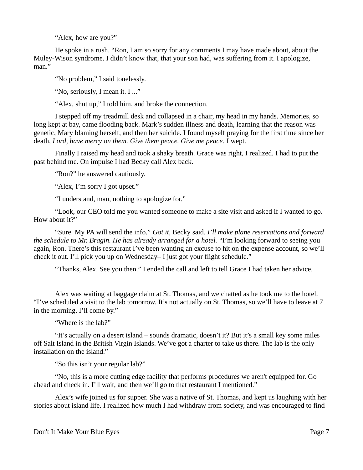"Alex, how are you?"

He spoke in a rush. "Ron, I am so sorry for any comments I may have made about, about the Muley-Wison syndrome. I didn't know that, that your son had, was suffering from it. I apologize, man."

"No problem," I said tonelessly.

"No, seriously, I mean it. I ..."

"Alex, shut up," I told him, and broke the connection.

I stepped off my treadmill desk and collapsed in a chair, my head in my hands. Memories, so long kept at bay, came flooding back. Mark's sudden illness and death, learning that the reason was genetic, Mary blaming herself, and then her suicide. I found myself praying for the first time since her death, *Lord, have mercy on them. Give them peace. Give me peace.* I wept.

Finally I raised my head and took a shaky breath. Grace was right, I realized. I had to put the past behind me. On impulse I had Becky call Alex back.

"Ron?" he answered cautiously.

"Alex, I'm sorry I got upset."

"I understand, man, nothing to apologize for."

"Look, our CEO told me you wanted someone to make a site visit and asked if I wanted to go. How about it?"

"Sure. My PA will send the info." *Got it*, Becky said. *I'll make plane reservations and forward the schedule to Mr. Bragin. He has already arranged for a hotel.* "I'm looking forward to seeing you again, Ron. There's this restaurant I've been wanting an excuse to hit on the expense account, so we'll check it out. I'll pick you up on Wednesday– I just got your flight schedule."

"Thanks, Alex. See you then." I ended the call and left to tell Grace I had taken her advice.

Alex was waiting at baggage claim at St. Thomas, and we chatted as he took me to the hotel. "I've scheduled a visit to the lab tomorrow. It's not actually on St. Thomas, so we'll have to leave at 7 in the morning. I'll come by."

"Where is the lab?"

"It's actually on a desert island – sounds dramatic, doesn't it? But it's a small key some miles off Salt Island in the British Virgin Islands. We've got a charter to take us there. The lab is the only installation on the island."

"So this isn't your regular lab?"

"No, this is a more cutting edge facility that performs procedures we aren't equipped for. Go ahead and check in. I'll wait, and then we'll go to that restaurant I mentioned."

Alex's wife joined us for supper. She was a native of St. Thomas, and kept us laughing with her stories about island life. I realized how much I had withdraw from society, and was encouraged to find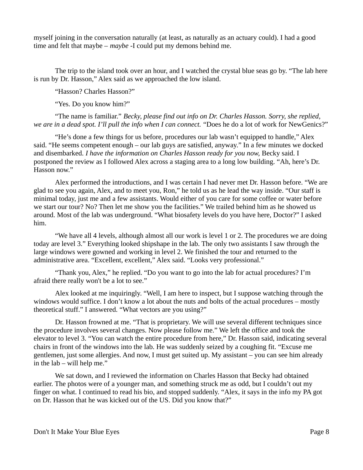myself joining in the conversation naturally (at least, as naturally as an actuary could). I had a good time and felt that maybe – *maybe* -I could put my demons behind me.

The trip to the island took over an hour, and I watched the crystal blue seas go by. "The lab here is run by Dr. Hasson," Alex said as we approached the low island.

"Hasson? Charles Hasson?"

"Yes. Do you know him?"

"The name is familiar." *Becky, please find out info on Dr. Charles Hasson. Sorry, she replied, we are in a dead spot. I'll pull the info when I can connect.* "Does he do a lot of work for NewGenics?"

"He's done a few things for us before, procedures our lab wasn't equipped to handle," Alex said. "He seems competent enough – our lab guys are satisfied, anyway." In a few minutes we docked and disembarked. *I have the information on Charles Hasson ready for you now*, Becky said. I postponed the review as I followed Alex across a staging area to a long low building. "Ah, here's Dr. Hasson now."

Alex performed the introductions, and I was certain I had never met Dr. Hasson before. "We are glad to see you again, Alex, and to meet you, Ron," he told us as he lead the way inside. "Our staff is minimal today, just me and a few assistants. Would either of you care for some coffee or water before we start our tour? No? Then let me show you the facilities." We trailed behind him as he showed us around. Most of the lab was underground. "What biosafety levels do you have here, Doctor?" I asked him.

"We have all 4 levels, although almost all our work is level 1 or 2. The procedures we are doing today are level 3." Everything looked shipshape in the lab. The only two assistants I saw through the large windows were gowned and working in level 2. We finished the tour and returned to the administrative area. "Excellent, excellent," Alex said. "Looks very professional."

"Thank you, Alex," he replied. "Do you want to go into the lab for actual procedures? I'm afraid there really won't be a lot to see."

Alex looked at me inquiringly. "Well, I am here to inspect, but I suppose watching through the windows would suffice. I don't know a lot about the nuts and bolts of the actual procedures – mostly theoretical stuff." I answered. "What vectors are you using?"

Dr. Hasson frowned at me. "That is proprietary. We will use several different techniques since the procedure involves several changes. Now please follow me." We left the office and took the elevator to level 3. "You can watch the entire procedure from here," Dr. Hasson said, indicating several chairs in front of the windows into the lab. He was suddenly seized by a coughing fit. "Excuse me gentlemen, just some allergies. And now, I must get suited up. My assistant – you can see him already in the lab – will help me."

We sat down, and I reviewed the information on Charles Hasson that Becky had obtained earlier. The photos were of a younger man, and something struck me as odd, but I couldn't out my finger on what. I continued to read his bio, and stopped suddenly. "Alex, it says in the info my PA got on Dr. Hasson that he was kicked out of the US. Did you know that?"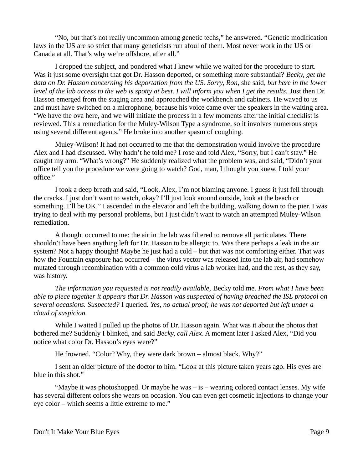"No, but that's not really uncommon among genetic techs," he answered. "Genetic modification laws in the US are so strict that many geneticists run afoul of them. Most never work in the US or Canada at all. That's why we're offshore, after all."

I dropped the subject, and pondered what I knew while we waited for the procedure to start. Was it just some oversight that got Dr. Hasson deported, or something more substantial? *Becky, get the data on Dr. Hasson concerning his deportation from the US. Sorry, Ron,* she said*, but here in the lower*  level of the lab access to the web is spotty at best. I will inform you when I get the results. Just then Dr. Hasson emerged from the staging area and approached the workbench and cabinets. He waved to us and must have switched on a microphone, because his voice came over the speakers in the waiting area. "We have the ova here, and we will initiate the process in a few moments after the initial checklist is reviewed. This a remediation for the Muley-Wilson Type a syndrome, so it involves numerous steps using several different agents." He broke into another spasm of coughing.

Muley-Wilson! It had not occurred to me that the demonstration would involve the procedure Alex and I had discussed. Why hadn't he told me? I rose and told Alex, "Sorry, but I can't stay." He caught my arm. "What's wrong?" He suddenly realized what the problem was, and said, "Didn't your office tell you the procedure we were going to watch? God, man, I thought you knew. I told your office."

I took a deep breath and said, "Look, Alex, I'm not blaming anyone. I guess it just fell through the cracks. I just don't want to watch, okay? I'll just look around outside, look at the beach or something. I'll be OK." I ascended in the elevator and left the building, walking down to the pier. I was trying to deal with my personal problems, but I just didn't want to watch an attempted Muley-Wilson remediation.

A thought occurred to me: the air in the lab was filtered to remove all particulates. There shouldn't have been anything left for Dr. Hasson to be allergic to. Was there perhaps a leak in the air system? Not a happy thought! Maybe he just had a cold – but that was not comforting either. That was how the Fountain exposure had occurred – the virus vector was released into the lab air, had somehow mutated through recombination with a common cold virus a lab worker had, and the rest, as they say, was history.

*The information you requested is not readily available,* Becky told me*. From what I have been able to piece together it appears that Dr. Hasson was suspected of having breached the ISL protocol on several occasions. Suspected?* I queried*. Yes, no actual proof; he was not deported but left under a cloud of suspicion.*

While I waited I pulled up the photos of Dr. Hasson again. What was it about the photos that bothered me? Suddenly I blinked, and said *Becky, call Alex*. A moment later I asked Alex, "Did you notice what color Dr. Hasson's eyes were?"

He frowned. "Color? Why, they were dark brown – almost black. Why?"

I sent an older picture of the doctor to him. "Look at this picture taken years ago. His eyes are blue in this shot."

"Maybe it was photoshopped. Or maybe he was  $-$  is  $-$  wearing colored contact lenses. My wife has several different colors she wears on occasion. You can even get cosmetic injections to change your eye color – which seems a little extreme to me."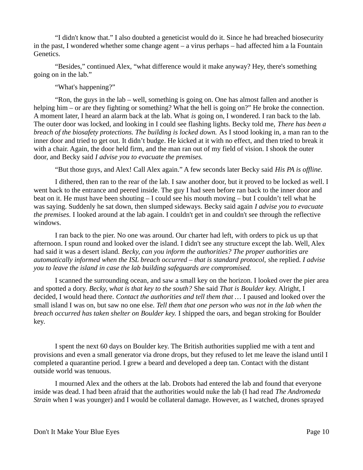"I didn't know that." I also doubted a geneticist would do it. Since he had breached biosecurity in the past, I wondered whether some change agent – a virus perhaps – had affected him a la Fountain Genetics.

"Besides," continued Alex, "what difference would it make anyway? Hey, there's something going on in the lab."

"What's happening?"

"Ron, the guys in the lab – well, something is going on. One has almost fallen and another is helping him – or are they fighting or something? What the hell is going on?" He broke the connection. A moment later, I heard an alarm back at the lab. What *is* going on, I wondered. I ran back to the lab. The outer door was locked, and looking in I could see flashing lights. Becky told me, *There has been a breach of the biosafety protections. The building is locked down.* As I stood looking in, a man ran to the inner door and tried to get out. It didn't budge. He kicked at it with no effect, and then tried to break it with a chair. Again, the door held firm, and the man ran out of my field of vision. I shook the outer door, and Becky said *I advise you to evacuate the premises.*

"But those guys, and Alex! Call Alex again." A few seconds later Becky said *His PA is offline.*

I dithered, then ran to the rear of the lab. I saw another door, but it proved to be locked as well. I went back to the entrance and peered inside. The guy I had seen before ran back to the inner door and beat on it. He must have been shouting – I could see his mouth moving – but I couldn't tell what he was saying. Suddenly he sat down, then slumped sideways. Becky said again *I advise you to evacuate the premises.* I looked around at the lab again. I couldn't get in and couldn't see through the reflective windows.

I ran back to the pier. No one was around. Our charter had left, with orders to pick us up that afternoon. I spun round and looked over the island. I didn't see any structure except the lab. Well, Alex had said it was a desert island. *Becky, can you inform the authorities? The proper authorities are automatically informed when the ISL breach occurred – that is standard protocol,* she replied. *I advise you to leave the island in case the lab building safeguards are compromised.*

I scanned the surrounding ocean, and saw a small key on the horizon. I looked over the pier area and spotted a dory. *Becky, what is that key to the south?* She said *That is Boulder key.* Alright*,* I decided, I would head there. *Contact the authorities and tell them that …* I paused and looked over the small island I was on, but saw no one else. *Tell them that one person who was not in the lab when the breach occurred has taken shelter on Boulder key.* I shipped the oars, and began stroking for Boulder key.

I spent the next 60 days on Boulder key. The British authorities supplied me with a tent and provisions and even a small generator via drone drops, but they refused to let me leave the island until I completed a quarantine period. I grew a beard and developed a deep tan. Contact with the distant outside world was tenuous.

I mourned Alex and the others at the lab. Drobots had entered the lab and found that everyone inside was dead. I had been afraid that the authorities would nuke the lab (I had read *The Andromeda Strain* when I was younger) and I would be collateral damage. However, as I watched, drones sprayed